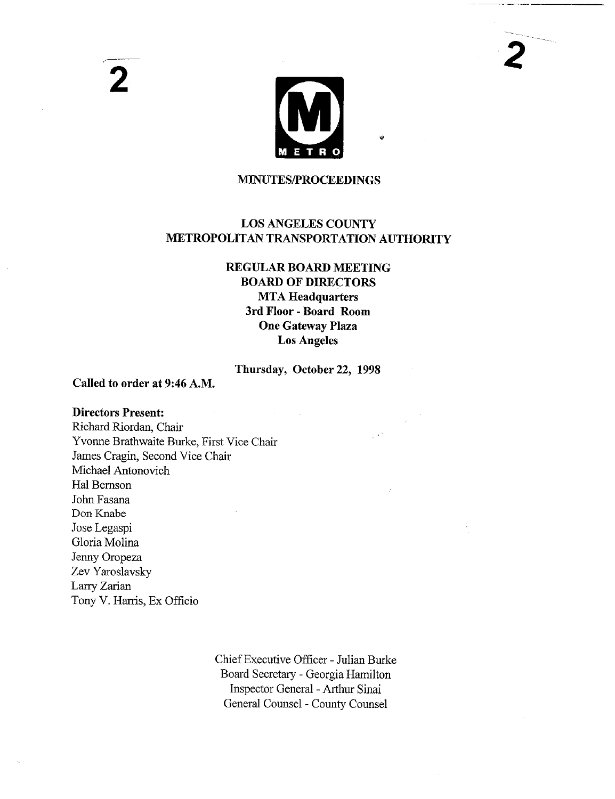

### **MINUTES/PROCEEDINGS**

# LOS ANGELES COUNTY METROPOLITAN TRANSPORTATION AUTHORITY

# **REGULAR BOARD MEETING BOARD OF DIRECTORS MTA Headquarters 3rd Floor - Board Room One Gateway Plaza Los Angeles**

# Thursday, October22, 1998

### **Called to order at** 9:46 A.M.

### **Directors Present:**

**2**

Richard Riordan, Chair Yvonne Brathwaite Burke, First Vice Chair James Cragin, Second Vice Chair Michael Antonovich Hal Bemson John Fasana Don Knabe Jose Legaspi Gloria Molina Jenny Oropeza Zev Yaroslavsky Larry Zarian Tony V. Harris, Ex Officio

> Chief Executive Officer - Julian Burke Board Secretary - Georgia Hamilton Inspector General - Arthur Sinai General Counsel - County Counsel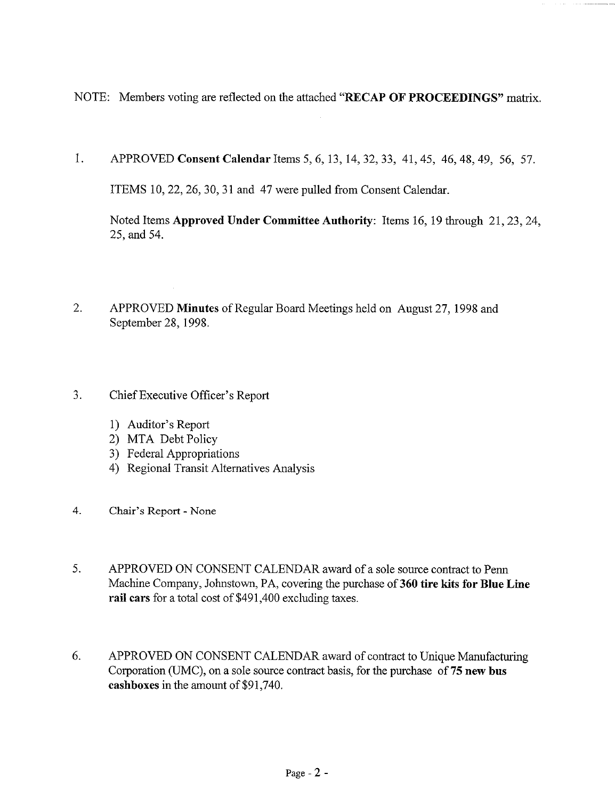NOTE: Members voting are reflected on the attached "RECAP OF PROCEEDINGS" matrix.

1. APPROVED **Consent Calendar** Items 5, 6, 13, 14, 32, 33, 41, 45, 46, 48, 49, 56, 57.

ITEMS 10, 22, 26, 30, 31 and 47 were pulled from Consent Calendar.

Noted Items Approved **Under Committee** Authority: Items 16, 19 through 21, 23, 24, 25, and 54.

- 2. APPROVED Minutes of Regular Board Meetings held on August 27, 1998 and September 28, 1998.
- $3.$ Chief Executive Officer's Report
	- 1) Auditor's Report
	- 2) MTA Debt Policy
	- 3) Federal Appropriations
	- 4) Regional Transit Alternatives Analysis
- 4. Chair's Report None
- 5. APPROVED ON CONSENT CALENDAR award of a sole source contract to Penn Machine Company, Johnstown, PA, covering the purchase of 360 tire kits for Blue Line rail ears for a total cost of \$491,400 excluding taxes.
- 6. APPROVED ON CONSENT CALENDAR award of contract to Unique Manufacturing Corporation (UMC), on a sole source contract basis, for the purchase of 75 new bus eashboxes in the amount of \$91,740.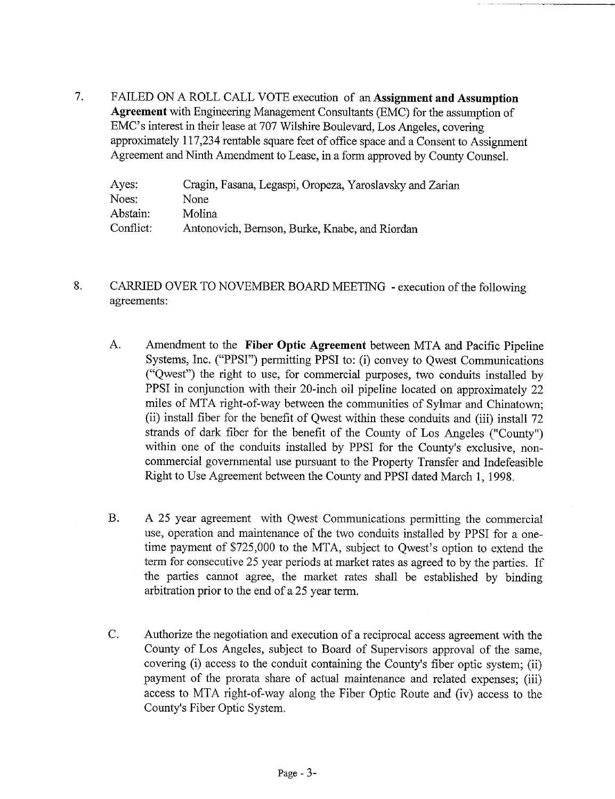$7.$ FAILED ON A ROLL CALL VOTE execution of an **Assignment and Assumption Agreement** with Engineering Management Consultants (EMC) for the assumption EMC's interest in their lease at 707 Wilshire Boulevard, Los Angeles, covering approximately 117,234 rentable square feet of office space and a Consent to Assignment Agreement and Ninth Amendment to Lease, in a form approved by County Counsel.

| Ayes:     | Cragin, Fasana, Legaspi, Oropeza, Yaroslavsky and Zarian |
|-----------|----------------------------------------------------------|
| Noes:     | None                                                     |
| Abstain:  | Molina                                                   |
| Conflict: | Antonovich, Bernson, Burke, Knabe, and Riordan           |

- 8. CARRIED OVER TO NOVEMBER BOARD MEETING - execution of the following agreements:
	- A. Amendment to the **Fiber Optic Agreement** between MTA and Pacific Pipeline Systems, Inc. ("PPSI") permitting PPSI to: (i) convey to Qwest Communications ("Qwest") the right to use, for commercial purposes, two conduits installed PPSI in conjunction with their 20-inch oil pipeline located on approximately 22 miles of MTA right-of-way between the communities of Sylmar and Chinatown; (ii) install fiber for the benefit of Qwest within these conduits and (iii) install strands of dark fiber for the benefit of the County of Los Angeles ("County") within one of the conduits installed by PPSI for the County's exclusive, noncommercial governmental use pursuant to the Property Transfer and Indefeasible Right to Use Agreement between the County and PPSI dated March 1, 1998.
	- B. A 25 year agreement with Qwest Communications permitting the commercial use, operation and maintenance of the two conduits installed by PPSI for a onetime payment of \$725,000 to the MTA, subject to Qwest's option to extend the term for consecutive 25 year periods at market rates as agreed to by the parties. If the parties cannot agree, the market rates shall be established by binding arbitration prior to the end of a 25 year term.
	- C. Authorize the negotiation and execution of a reciprocal access agreement with the County of Los Angeles, subject to Board of Supervisors approval of the same, covering (i) access to the conduit containing the County's fiber optic system; (ii) payment of the prorata share of actual maintenance and related expenses; (iii) access to MTA right-of-way along the Fiber Optic Route and (iv) access to the County's Fiber Optic System.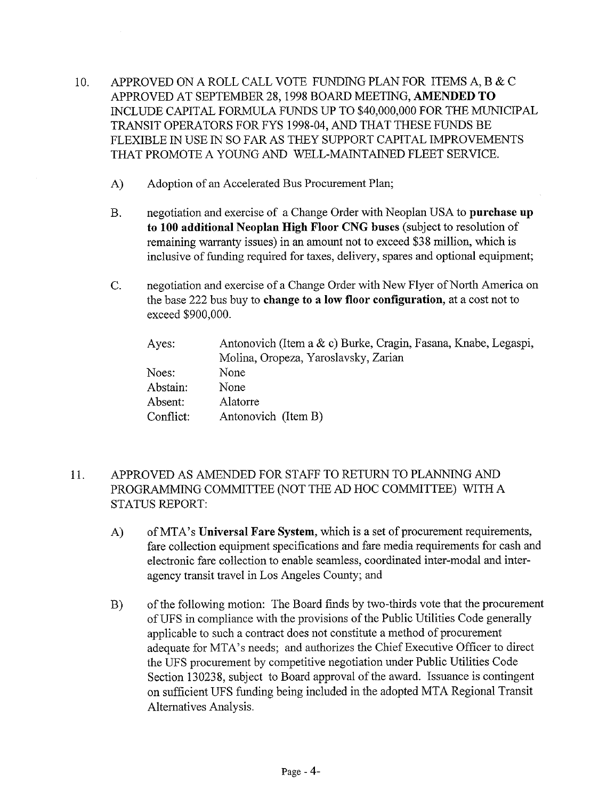- 10. APPROVED ON A ROLL CALL VOTE FUNDING PLAN FOR ITEMS A, B & C APPROVED AT SEPTEMBER 28, 1998 BOARD MEETING, AMENDED TO INCLUDE CAPITAL FORMULA FUNDS UP TO \$40,000,000 FOR THE MUNICIPAL TRANSIT OPERATORS FOR FYS 1998-04, AND THAT THESE FUNDS BE FLEXIBLE IN USE IN SO FAR AS THEY SUPPORT CAPITAL IMPROVEMENTS THAT PROMOTE A YOUNG AND WELL-MAINTAINED FLEET SERVICE.
	- A) Adoption of an Accelerated Bus Procurement Plan;
	- negotiation and exercise of a Change Order with Neoplan USA to **purchase up**  $B<sub>r</sub>$ **to 100 additional Neoplan High Floor CNG buses** (subject to resolution of remaining warranty issues) in an amount not to exceed \$38 million, which is inclusive of funding required for taxes, delivery, spares and optional equipment;
	- negotiation and exercise of a Change Order with New Flyer of North America on  $C_{\cdot}$ the base 222 bus buy to **change to a low floor configuration,** at a cost not to exceed \$900,000.

| Ayes:     | Antonovich (Item a & c) Burke, Cragin, Fasana, Knabe, Legaspi, |
|-----------|----------------------------------------------------------------|
|           | Molina, Oropeza, Yaroslavsky, Zarian                           |
| Noes:     | None                                                           |
| Abstain:  | None                                                           |
| Absent:   | Alatorre                                                       |
| Conflict: | Antonovich (Item B)                                            |

- 11. APPROVED AS AMENDED FOR STAFF TO RETURN TO PLANNING AND PROGRAMMING COMMITTEE (NOT THE AD HOC COMMITTEE) WITH A STATUS REPORT:
	- A) of MTA's **Universal Fare System,** which is a set of procurement requirements, fare collection equipment specifications and fare media requirements for cash and electronic fare collection to enable seamless, coordinated inter-modal and interagency transit travel in Los Angeles County; and
	- **B)** of the following motion: The Board finds by two-thirds vote that the procurement of UFS in compliance with the provisions of the Public Utilities Code generally applicable to such a contract does not constitute a method of procurement adequate for MTA's needs; and authorizes the Chief Executive Officer to direct the UFS procurement by competitive negotiation under Public Utilities Code Section 130238, subject to Board approval of the award. Issuance is contingent on sufficient UFS funding being included in the adopted MTA Regional Transit Alternatives Analysis.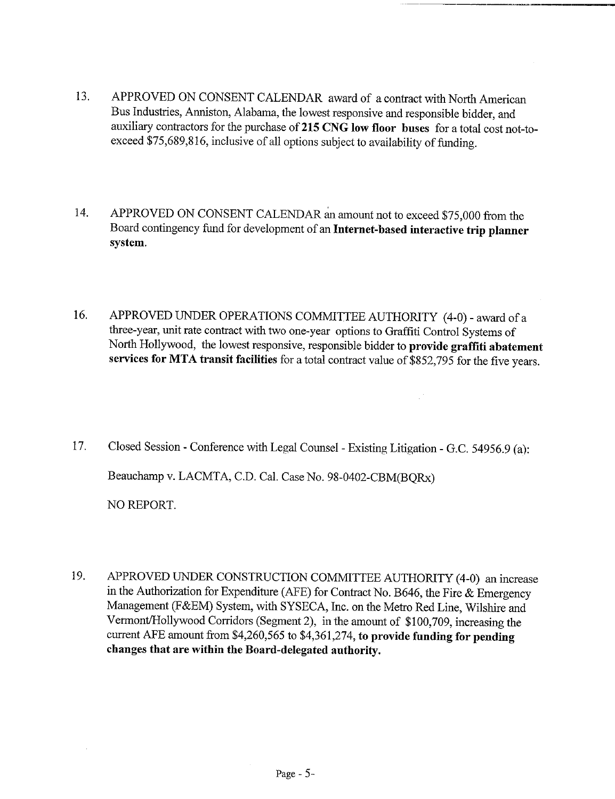- 13. APPROVED ON CONSENT CALENDAR award of a contract with North American Bus Industries, Anniston, Alabama, the lowest responsive and responsible bidder, and auxiliary contractors for the purchase of215 CNG **low floor buses** for a total cost not-toexceed \$75,689,816, inclusive of all options subject to availability of funding.
- 14. APPROVED ON CONSENT CALENDAR an amount not to exceed \$75,000 from the Board contingency fund for development of an **Internet-based interactive trip planner system.**
- 16. APPROVED UNDER OPERATIONS COMMITTEE AUTHORITY (4-0) award of three-year, unit rate contract with two one-year options to Graffiti Control Systems of North Hollywood, the lowest responsive, responsible bidder to provide graffiti **abatement services for MTA transit facilities** for a total contract value of \$852,795 for the five years.

цŤ

- 17. Closed Session Conference with Legal Counsel Existing Litigation G.C. 54956.9 (a): Beauchamp v. LACMTA, C.D. Cal. Case No. 98-0402-CBM(BQRx) NO REPORT.
- 19. APPROVED UNDER CONSTRUCTION COMMITTEE AUTHORITY (4-0) an increase in the Authorization for Expenditure (AFE) for Contract No. B646, the Fire  $&$  Emergency Management (F&EM) System, with SYSECA, Inc. on the Metro Red Line, Wilshire and Vermont/Hollywood Corridors (Segment 2), in the amount of \$100,709, increasing the current AFE amount from \$4,260,565 to \$4,361,274, **to provide funding for pending changes that are within the Board-delegated authority.**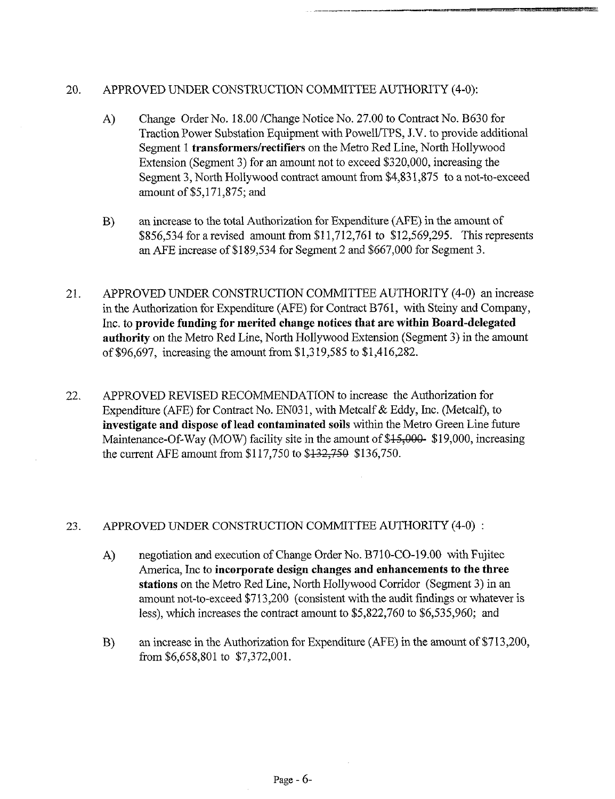## 20. APPROVED UNDER CONSTRUCTION COMMITTEE AUTHORITY (4-0):

- $A)$ Change Order No. 18.00/Change Notice No. 27.00 to Contract No. B630 for Traction Power Substation Equipment with PowelI/TPS, J.V. to provide additional Segment 1 *transformers/rectifiers* on the Metro Red Line, North Hollywood Extension (Segment 3) for an amount not to exceed \$320,000, increasing the Segment 3, North Hollywood contract amount from \$4,831,875 to a not-to-exceed amount of \$5,171,875; and
- an increase to the total Authorization for Expenditure (AFE) in the amount  $B)$ \$856,534 for a revised amount from \$11,712,761 to \$12,569,295. This represents an AFE increase of \$189,534 for Segment 2 and \$667,000 for Segment 3.
- 21. APPROVED UNDER CONSTRUCTION COMMITTEE AUTHORITY (4-0) an increase in the Authorization for Expenditure (AFE) for Contract B761, with Steiny and Company, Inc. to **provide funding for merited change notices that are within Board-delegated authority** on the Metro Red Line, North Hollywood Extension (Segment 3) in the amount of \$96,697, increasing the amount from \$1,319,585 to \$1,416,282.
- 22. APPROVED REVISED RECOMMENDATION to increase the Authorization for Expenditure (AFE) for Contract No. EN031, with Metcalf  $& Eddy$ , Inc. (Metcalf), to **investigate and dispose of lead contaminated soils** within the Metro Green Line future Maintenance-Of-Way (MOW) facility site in the amount of  $$15,000$ - \$19,000, increasing the current AFE amount from \$117,750 to \$122,750 \$136,750.

### 23. APPROVED UNDER CONSTRUCTION COMMITTEE AUTHORITY (4-0) :

- A) negotiation and execution of Change Order No. B710-CO-19.00 with Fujitec America, Inc to **incorporate design changes and enhancements to the three** stations on the Metro Red Line, North Hollywood Corridor (Segment 3) in amount not-to-exceed \$713,200 (consistent with the audit findings or whatever is less), which increases the contract amount to  $$5,822,760$  to  $$6,535,960$ ; and
- an increase in the Authorization for Expenditure (AFE) in the amount of \$713,200,  $B)$ from \$6,658,801 to \$7,372,001.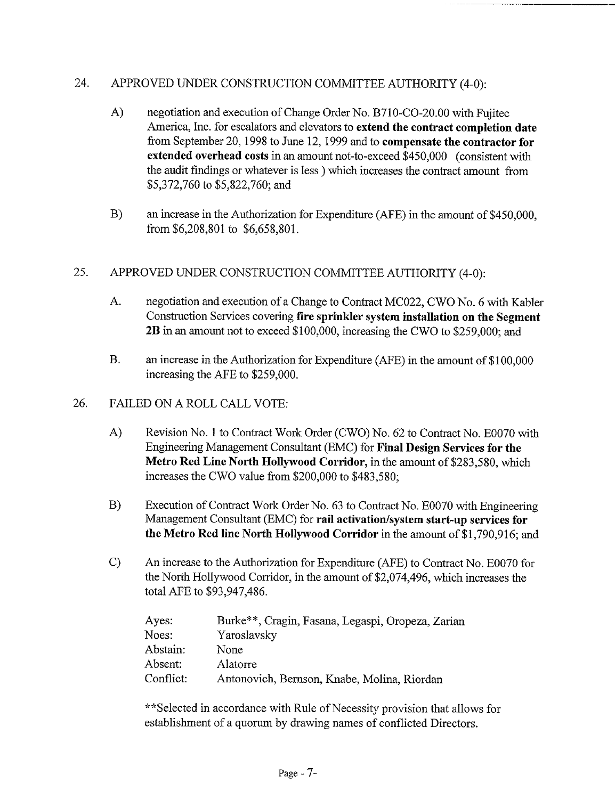# 24. APPROVED UNDER CONSTRUCTION COMMITTEE AUTHORITY (4-0):

- A) negotiation and execution of Change Order No. B710-CO-20.00 with Fujitec America, Inc. for escalators and elevators to **extend the contract completion date** from September 20, 1998 to June 12, 1999 and to **compensate the contractor for extended overhead costs** in an amount not-to-exceed \$450,000 (consistent with the audit findings or whatever is less ) which increases the contract amount from \$5,372,760 to \$5,822,760; and
- B) an increase in the Authorization for Expenditure (AFE) in the amount of \$450,000, from \$6,208,801 to \$6,658,801.

# 25. APPROVED UNDER CONSTRUCTION COMMITTEE AUTHORITY (4-0):

- A. negotiation and execution of a Change to Contract MC022, CWO No. 6 with Kabler Construction Services covering fire sprinkler system installation on the Segment 2B in an amount not to exceed \$100,000, increasing the CWO to \$259,000; and
- **B.** an increase in the Authorization for Expenditure (AFE) in the amount of \$100,000 increasing the AFE to \$259,000.

#### 26. FAILED ON A ROLL CALL VOTE:

- A) Revision No. 1 to Contract Work Order (CWO) No. 62 to Contract No. E0070 with Engineering Management Consultant (EMC) for Final Design Services **for the Metro** Red Line North Hollywood Corridor, in the amount of \$283,580, which increases the CWO value from \$200,000 to \$483,580;
- **B)** Execution of Contract Work Order No. 63 to Contract No. E0070 with Engineering Management Consultant (EMC) for rail activation/system start-up services for **the Metro** Red line North Hollywood Corridor in the amount of \$1,790,916; and
- c) An increase to the Authorization for Expenditure (AFE) to Contract No. E0070 for the North Hollywood Corridor, in the amount of \$2,074,496, which increases the total AFE to \$93,947,486.

| Ayes:     | Burke**, Cragin, Fasana, Legaspi, Oropeza, Zarian |
|-----------|---------------------------------------------------|
| Noes:     | Yaroslavsky                                       |
| Abstain:  | None                                              |
| Absent:   | <b>Alatorre</b>                                   |
| Conflict: | Antonovich, Bernson, Knabe, Molina, Riordan       |

\*\*Selected in accordance with Rule of Necessity provision that allows for establishment of a quorum by drawing names of conflicted Directors.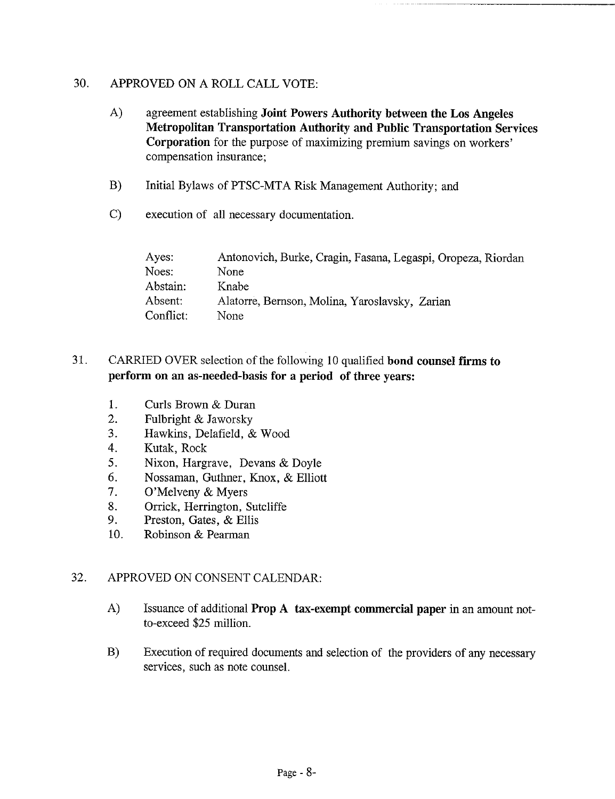# 30. APPROVED ON A ROLL CALL VOTE:

- A) agreement establishing **Joint Powers Authority between the Los Angeles Metropolitan Transportation Authority and Public Transportation Services Corporation** for the purpose of maximizing premium savings on workers' compensation insurance;
- B) Initial Bylaws of PTSC-MTA Risk Management Authority; and
- C) execution of all necessary documentation.

| Ayes:     | Antonovich, Burke, Cragin, Fasana, Legaspi, Oropeza, Riordan |
|-----------|--------------------------------------------------------------|
| Noes:     | None                                                         |
| Abstain:  | Knabe                                                        |
| Absent:   | Alatorre, Bernson, Molina, Yaroslavsky, Zarian               |
| Conflict: | None                                                         |

# 31. CARRIED OVER selection of the following 10 qualified **bond counsel** firms to **perform on an as-needed-basis for a period of three years:**

- 1. Curls Brown & Duran
- 2. Fulbright & Jaworsky
- 3. Hawkins, Delafield, & Wood
- 4. Kutak, Rock
- 5. Nixon, Hargrave, Devans & Doyle
- 6. Nossaman, Guthner, Knox, & Elliott
- 7. O'Melveny & Myers<br>8. Orrick. Herrington. 9
- 8. Orrick, Herrington, Sutcliffe<br>9. Preston, Gates, & Ellis
- Preston, Gates, & Ellis
- 10. Robinson & Pearman

# 32. APPROVED ON CONSENT CALENDAR:

- A) Issuance of additional Prop A tax-exempt **commercial paper** in an amount notto-exceed \$25 million.
- B) Execution of required documents and selection of the providers of any necessary services, such as note counsel.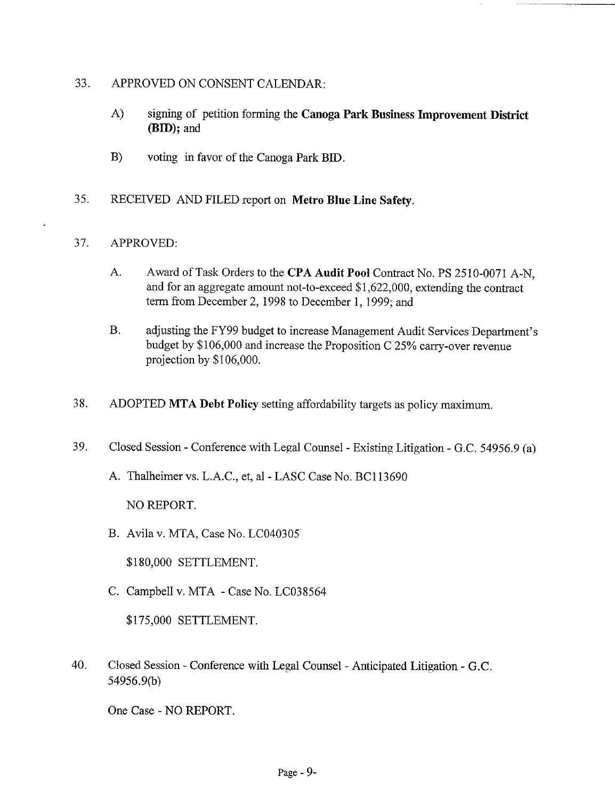## 33. APPROVED ON CONSENT CALENDAR:

- A) signing of petition forming the Canoga Park Business Improvement District (BID); and
- B) voting in favor of the Canoga Park BID.
- 35. RECEIVED AND FILED report on Metro Blue Line Safety.

## 37. APPROVED:

- $A_{\cdot}$ Award of Task Orders to the CPA Audit Pool Contract No. PS 2510-0071 A-N, and for an aggregate amount not-to-exceed \$1,622,000, extending the contract term from December 2, *1998* to December 1, *1999;* and
- **B.** adjusting the FY99 budget to increase Management Audit Services Department's budget by \$106,000 and increase the Proposition C 25% carry-over revenue projection by \$106,000.
- 38. ADOPTED MTA Debt Policy setting affordability targets as policy maximum.
- 39. Closed Session - Conference with Legal Counsel - Existing Litigation - G.C. 54956.9 (a)
	- A. Thalheimer vs. L.A.C., et, al -LASC Case No. BC113690

NO REPORT.

B. Avila v. MTA, Case No. LC040305

\$180,000 SETTLEMENT.

C. Campbell v. MTA -Case No. LC038564

\$175,000 SETTLEMENT.

40. Closed Session- Conference with Legal Counsel - Anticipated Litigation - G.C. 54956.9(b)

One Case - NO REPORT.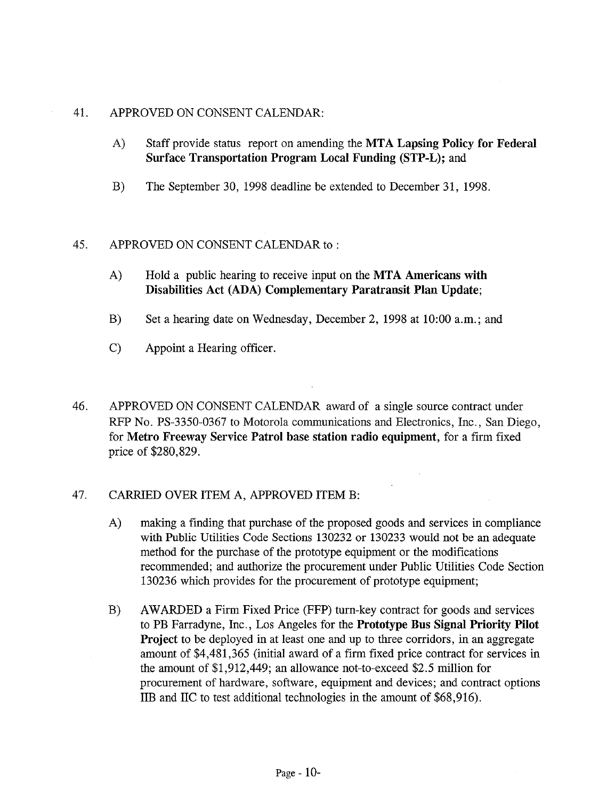### 41. APPROVED ON CONSENT CALENDAR:

- A) Staff provide status report on amending the MTA Lapsing Policy for Federal **Surface Transportation Program** Local Funding (STP-L); and
- B) The September 30, 1998 deadline be extended to December 31, 1998.

## 45. APPROVED ON CONSENT CALENDAR to :

- A) Hold a public hearing to receive input on the MTA Americans with **Disabilities Act (ADA) Complementary Paratransit Plan Update;**
- B) Set a hearing date on Wednesday, December 2, 1998 at 10:00 a.m.; and
- C) Appoint a Hearing officer.
- 46. APPROVED ON CONSENT CALENDAR award of a single source contract under RFP No. PS-3350-0367 to Motorola communications and Electronics, Inc., San Diego, for **Metro Freeway Service Patrol base station radio equipment,** for a firm fixed price of \$280,829.

# 47. CARRIED OVER ITEM A, APPROVED ITEM B:

- A) making a finding that purchase of the proposed goods and services in compliance with Public Utilities Code Sections 130232 or 130233 would not be an adequate method for the purchase of the prototype equipment or the modifications recommended; and authorize the procurement under Public Utilities Code Section 130236 which provides for the procurement of prototype equipment;
- $B)$ AWARDED a Firm Fixed Price (FFP) turn-key contract for goods and services to PB Farradyne, Inc., Los Angeles for the **Prototype Bus Signal Priority Pilot** Project to be deployed in at least one and up to three corridors, in an aggregate amount of \$4,481,365 (initial award of a firm fixed price contract for services in the amount of \$1,912,449; an allowance not-to-exceed \$2.5 million for procurement of hardware, software, equipment and devices; and contract options IIB and IIC to test additional technologies in the amount of \$68,916).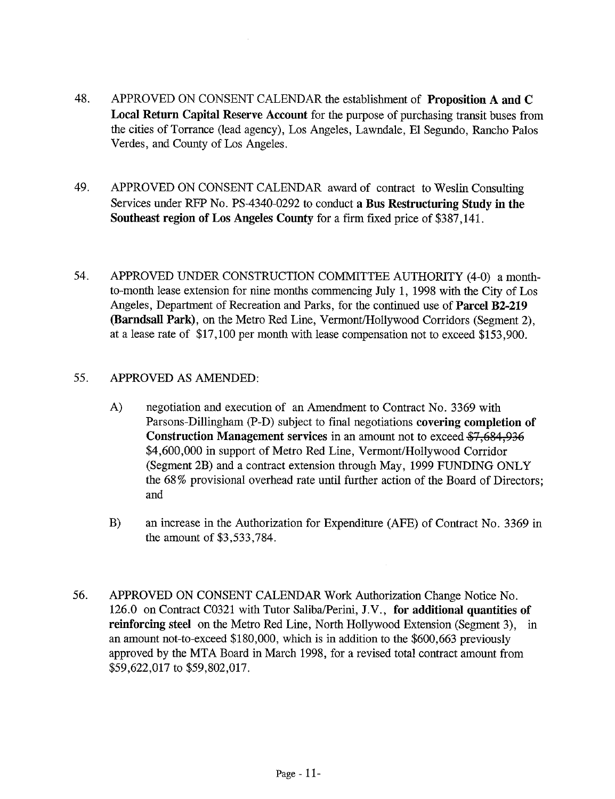- 48. APPROVED ON CONSENT CALENDAR the establishment of **Proposition A and** C Local Return Capital Reserve Account for the purpose of purchasing transit buses from the cities of Torrance (lead agency), Los Angeles, Lawndale, E1 Segundo, Rancho Palos Verdes, and County of Los Angeles.
- 49. APPROVED ON CONSENT CALENDAR award of contract to Weslin Consulting Services under RFP No. PS-4340-0292 to conduct a Bus Restructuring Study in the Southeast region of Los Angeles County for a firm fixed price of \$387,141.
- 54. APPROVED UNDER CONSTRUCTION COMMITTEE AUTHORITY (4-0) a monthto-month lease extension for nine months commencing July 1, 1998 with the City of Los Angeles, Department of Recreation and Parks, for the continued use of Parcel **B2-219** (Barndsall Park), on the Metro Red Line, Vermont/Hollywood Corridors (Segment 2), at a lease rate of \$17,100 per month with lease compensation not to exceed \$153,900.

# 55. APPROVED AS AMENDED:

- A) negotiation and execution of an Amendment to Contract No. 3369 with Parsons-Dillingham (P-D) subject to final negotiations covering completion of Construction Management services in an amount not to exceed \$7,684,936 \$4,600,000 in support of Metro Red Line, Vermont/Hollywood Corridor (Segment 2B) and a contract extension through May, 1999 FUNDING ONLY the 68% provisional overhead rate until further action of the Board of Directors; and
- $B)$ an increase in the Authorization for Expenditure (AFE) of Contract No. 3369 the amount of \$3,533,784.
- 56. APPROVED ON CONSENT CALENDAR Work Authorization Change Notice No. 126.0 on Contract C0321 with Tutor Saliba/Perini, J.V., **for additional** quantities of reinforcing steel on the Metro Red Line, North Hollywood Extension (Segment 3), in an amount not-to-exceed \$180,000, which is in addition to the \$600,663 previously approved by the MTA Board in March 1998, for a revised total contract amount from \$59,622,017 to \$59,802,017.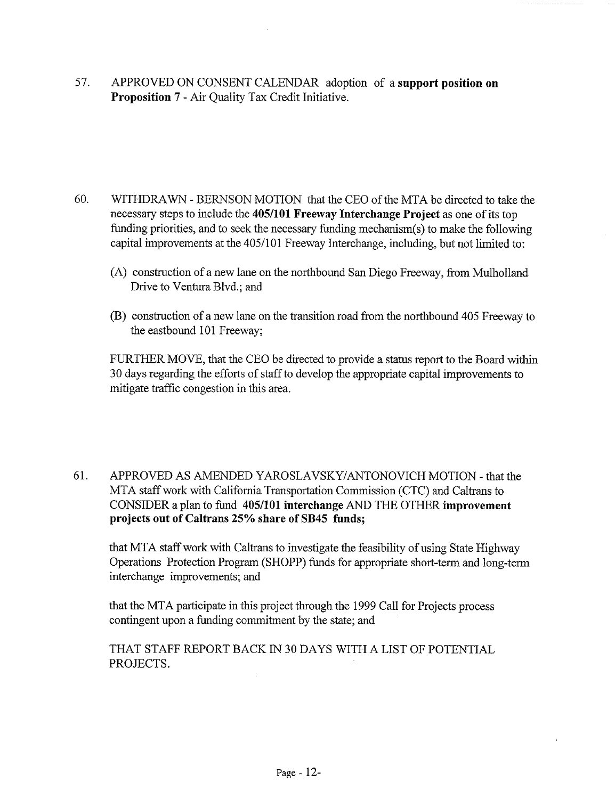57. APPROVED ON CONSENT CALENDAR adoption of a **support position on Proposition** 7 - Air Quality Tax Credit Initiative.

- 60. WITHDRAWN BERNSON MOTION that the CEO of the MTA be directed to take the necessary steps to include the 405/101 **Freeway Interchange Project** as one of its top funding priorities, and to seek the necessary funding mechanism(s) to make the following capital improvements at the 405/101 Freeway Interchange, including, but not limited to:
	- (A) construction of a new lane on the northbound San Diego Freeway, from Mulholland Drive to Ventura Blvd.; and
	- (B) construction of a new lane on the transition road from the northbound 405 Freeway to the eastbound 101 Freeway;

FURTHER MOVE, that the CEO be directed to provide a status report to the Board within 30 days regarding the efforts of staff to develop the appropriate capital improvements to mitigate traffic congestion in this area.

61. APPROVED AS AMENDED YAROSLAVSKY/ANTONOVICH MOTION - that the MTA staff work with California Transportation Commission (CTC) and Caltrans to CONSIDER a plan to fund 405/101 interchange AND THE OTHER **improvement projects out of Caltrans 25% share of SB45 funds;**

that MTA staff work with Caltrans to investigate the feasibility of using State Highway Operations Protection Program (SHOPP) funds for appropriate short-term and long-term interchange improvements; and

that the MTA participate in this project through the 1999 Call for Projects process contingent upon a funding commitment by the state; and

THAT STAFF REPORT BACK 1N 30 DAYS WITH A LIST OF POTENTIAL PROJECTS.